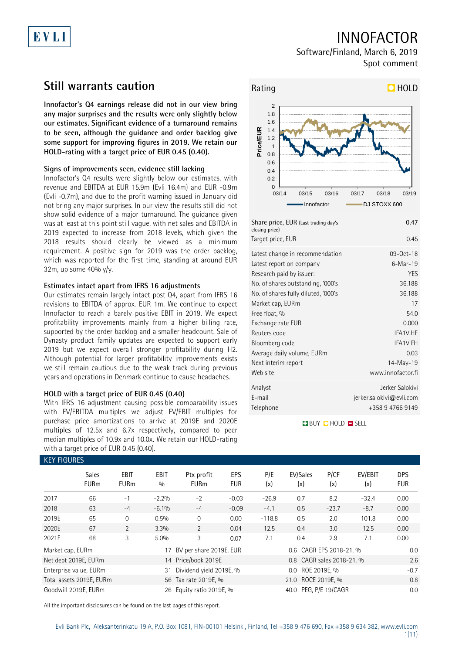# EVLI

# INNOFACTOR

Software/Finland, March 6, 2019 Spot comment

## **Still warrants caution**

**Innofactor's Q4 earnings release did not in our view bring any major surprises and the results were only slightly below our estimates. Significant evidence of a turnaround remains to be seen, although the guidance and order backlog give some support for improving figures in 2019. We retain our HOLD-rating with a target price of EUR 0.45 (0.40).**

### **Signs of improvements seen, evidence still lacking**

Innofactor's Q4 results were slightly below our estimates, with revenue and EBITDA at EUR 15.9m (Evli 16.4m) and EUR -0.9m (Evli -0.7m), and due to the profit warning issued in January did not bring any major surprises. In our view the results still did not show solid evidence of a major turnaround. The guidance given was at least at this point still vague, with net sales and EBITDA in 2019 expected to increase from 2018 levels, which given the 2018 results should clearly be viewed as a minimum requirement. A positive sign for 2019 was the order backlog, which was reported for the first time, standing at around EUR 32m, up some 40% y/y.

### **Estimates intact apart from IFRS 16 adjustments**

Our estimates remain largely intact post Q4, apart from IFRS 16 revisions to EBITDA of approx. EUR 1m. We continue to expect Innofactor to reach a barely positive EBIT in 2019. We expect profitability improvements mainly from a higher billing rate, supported by the order backlog and a smaller headcount. Sale of Dynasty product family updates are expected to support early 2019 but we expect overall stronger profitability during H2. Although potential for larger profitability improvements exists we still remain cautious due to the weak track during previous years and operations in Denmark continue to cause headaches.

### **HOLD with a target price of EUR 0.45 (0.40)**

With IFRS 16 adjustment causing possible comparability issues with EV/EBITDA multiples we adjust EV/EBIT multiples for purchase price amortizations to arrive at 2019E and 2020E multiples of 12.5x and 6.7x respectively, compared to peer median multiples of 10.9x and 10.0x. We retain our HOLD-rating with a target price of EUR 0.45 (0.40).



Analyst Jerker Salokivi E-mail jerker.salokivi@evli.com Telephone +358 9 4766 9149

**BUY QHOLD SELL** 

| KEY FIGURES                  |                             |                            |                          |                                                  |                   |            |                         |             |                |                   |  |
|------------------------------|-----------------------------|----------------------------|--------------------------|--------------------------------------------------|-------------------|------------|-------------------------|-------------|----------------|-------------------|--|
|                              | <b>Sales</b><br><b>EURm</b> | <b>EBIT</b><br><b>EURm</b> | <b>EBIT</b><br>0/0       | Ptx profit<br><b>EURm</b>                        | EPS<br><b>EUR</b> | P/E<br>(x) | EV/Sales<br>(x)         | P/CF<br>(x) | EV/EBIT<br>(x) | <b>DPS</b><br>EUR |  |
| 2017                         | 66                          | $-1$                       | $-2.2%$                  | $-2$                                             | $-0.03$           | $-26.9$    | 0.7                     | 8.2         | $-32.4$        | 0.00              |  |
| 2018                         | 63                          | $-4$                       | $-6.1%$                  | $-4$                                             | $-0.09$           | $-4.1$     | 0.5                     | $-23.7$     | $-8.7$         | 0.00              |  |
| 2019E                        | 65                          | $\mathbf 0$                | 0.5%                     | $\Omega$                                         | 0.00              | $-118.8$   | 0.5                     | 2.0         | 101.8          | 0.00              |  |
| 2020E                        | 67                          | $\overline{2}$             | 3.3%                     | 2                                                | 0.04              | 12.5       | 0.4                     | 3.0         | 12.5           | 0.00              |  |
| 2021E                        | 68                          | 3                          | 5.0%                     | 3                                                | 0.07              | 7.1        | 0.4                     | 2.9         | 7.1            | 0.00              |  |
| Market cap, EURm             |                             |                            |                          | BV per share 2019E, EUR                          |                   |            | 0.6 CAGR EPS 2018-21, % |             |                | 0.0               |  |
|                              | Net debt 2019E, EURm        |                            |                          | 14 Price/book 2019E<br>0.8 CAGR sales 2018-21, % |                   |            |                         |             |                | 2.6               |  |
| Enterprise value, EURm<br>31 |                             |                            |                          | Dividend yield 2019E, %<br>0.0 ROE 2019E, %      |                   |            |                         |             | $-0.7$         |                   |  |
| Total assets 2019E, EURm     |                             |                            |                          | 21.0 ROCE 2019E, %<br>56 Tax rate 2019E, %       |                   |            |                         |             |                | 0.8               |  |
| Goodwill 2019E, EURm         |                             |                            | 26 Equity ratio 2019E, % |                                                  |                   | 40.0       | PEG, P/E 19/CAGR        |             | 0.0            |                   |  |

All the important disclosures can be found on the last pages of this report.

### KEY FIGURES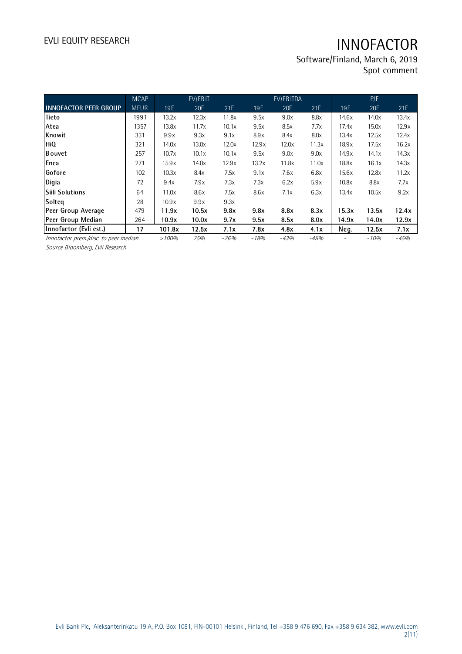Software/Finland, March 6, 2019 Spot comment

|                                       | <b>MCAP</b> |       | EV/EBIT |        |        | EV/EBITDA  |        |       | P/E    |        |
|---------------------------------------|-------------|-------|---------|--------|--------|------------|--------|-------|--------|--------|
| <b>INNOFACTOR PEER GROUP</b>          | <b>MEUR</b> | 19E   | 20E     | 21E    | 19E    | <b>20E</b> | 21E    | 19E   | 20E    | 21E    |
| Tieto                                 | 1991        | 13.2x | 12.3x   | 11.8x  | 9.5x   | 9.0x       | 8.8x   | 14.6x | 14.0x  | 13.4x  |
| Atea                                  | 1357        | 13.8x | 11.7x   | 10.1x  | 9.5x   | 8.5x       | 7.7x   | 17.4x | 15.0x  | 12.9x  |
| Knowit                                | 331         | 9.9x  | 9.3x    | 9.1x   | 8.9x   | 8.4x       | 8.0x   | 13.4x | 12.5x  | 12.4x  |
| <b>HiQ</b>                            | 321         | 14.0x | 13.0x   | 12.0x  | 12.9x  | 12.0x      | 11.3x  | 18.9x | 17.5x  | 16.2x  |
| <b>B</b> ouvet                        | 257         | 10.7x | 10.1x   | 10.1x  | 9.5x   | 9.0x       | 9.0x   | 14.9x | 14.1x  | 14.3x  |
| Enea                                  | 271         | 15.9x | 14.0x   | 12.9x  | 13.2x  | 11.8x      | 11.0x  | 18.8x | 16.1x  | 14.3x  |
| Gofore                                | 102         | 10.3x | 8.4x    | 7.5x   | 9.1x   | 7.6x       | 6.8x   | 15.6x | 12.8x  | 11.2x  |
| Digia                                 | 72          | 9.4x  | 7.9x    | 7.3x   | 7.3x   | 6.2x       | 5.9x   | 10.8x | 8.8x   | 7.7x   |
| Siili Solutions                       | 64          | 11.0x | 8.6x    | 7.5x   | 8.6x   | 7.1x       | 6.3x   | 13.4x | 10.5x  | 9.2x   |
| Solteg                                | 28          | 10.9x | 9.9x    | 9.3x   |        |            |        |       |        |        |
| Peer Group Average                    | 479         | 11.9x | 10.5x   | 9.8x   | 9.8x   | 8.8x       | 8.3x   | 15.3x | 13.5x  | 12.4x  |
| Peer Group Median                     | 264         | 10.9x | 10.0x   | 9.7x   | 9.5x   | 8.5x       | 8.0x   | 14.9x | 14.0x  | 12.9x  |
| Innofactor (Evli est.)                | 17          | 1018x | 12.5x   | 7.1x   | 7.8x   | 4.8x       | 4.1x   | Neg.  | 12.5x  | 7.1x   |
| Innofactor prem./disc. to peer median |             | >100% | 25%     | $-26%$ | $-18%$ | $-43%$     | $-49%$ |       | $-10%$ | $-45%$ |

Source Bloomberg, Evli Research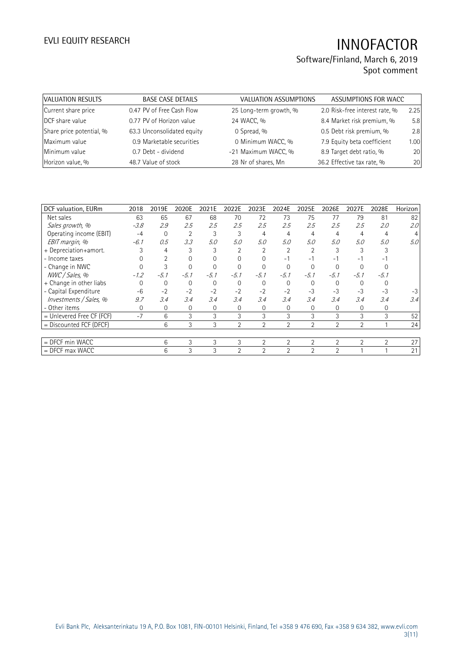## Software/Finland, March 6, 2019 Spot comment

| VALUATION RESULTS        | <b>BASE CASE DETAILS</b>   | <b>VALUATION ASSUMPTIONS</b> | ASSUMPTIONS FOR WACC           |      |
|--------------------------|----------------------------|------------------------------|--------------------------------|------|
| Current share price      | 0.47 PV of Free Cash Flow  | 25 Long-term growth, %       | 2.0 Risk-free interest rate, % | 2.25 |
| DCF share value          | 0.77 PV of Horizon value   | 24 WACC, %                   | 8.4 Market risk premium, %     | 5.8  |
| Share price potential, % | 63.3 Unconsolidated equity | 0 Spread, %                  | 0.5 Debt risk premium, %       | 2.8  |
| Maximum value            | 0.9 Marketable securities  | 0 Minimum WACC, %            | 7.9 Equity beta coefficient    | 1.00 |
| Minimum value            | 0.7 Debt - dividend        | -21 Maximum WACC, %          | 8.9 Target debt ratio, %       | 20   |
| Horizon value, %         | 48.7 Value of stock        | 28 Nr of shares, Mn          | 36.2 Effective tax rate, %     | 20   |

| DCF valuation, EURm         | 2018   | 2019E        | 2020E    | 2021E  | 2022E          | 2023E          | 2024E          | 2025E          | 2026E          | 2027E          | 2028E          | Horizon |
|-----------------------------|--------|--------------|----------|--------|----------------|----------------|----------------|----------------|----------------|----------------|----------------|---------|
| Net sales                   | 63     | 65           | 67       | 68     | 70             | 72             | 73             | 75             | 77             | 79             | 81             | 82      |
| Sales growth, %             | $-3.8$ | 2.9          | 2.5      | 2.5    | 2.5            | 2.5            | 2.5            | 2.5            | 2.5            | 2.5            | 2.0            | 2.0     |
| Operating income (EBIT)     | $-4$   | $\mathbf{0}$ | 2        | 3      | 3              | 4              | 4              | 4              | 4              | 4              | 4              |         |
| EBIT margin, %              | $-6.1$ | 0.5          | 3.3      | 5.0    | 5.0            | 5.0            | 5.0            | 5.0            | 5.0            | 5.0            | 5.0            | 5.0     |
| + Depreciation+amort.       |        | 4            | 3        | 3      | 2              |                | 2              |                |                |                |                |         |
| - Income taxes              |        |              | $\Omega$ |        |                |                | $-1$           | - 1            | - 1            | - 1            | Ξ.             |         |
| - Change in NWC             |        |              | $\Omega$ |        |                |                |                | $\Omega$       |                |                |                |         |
| NWC / Sales, %              | $-1.2$ | $-5.1$       | $-5.1$   | $-5.1$ | $-5.1$         | $-5.1$         | $-5.1$         | $-5.1$         | $-5.1$         | $-5.1$         | $-5.1$         |         |
| + Change in other liabs     | 0      | 0            | $\Omega$ |        | 0              | $\Omega$       | $\Omega$       | 0              | 0              | $\Omega$       |                |         |
| - Capital Expenditure       | $-6$   | $-2$         | $-2$     | $-2$   | $-2$           | $-2$           | $-2$           | $-3$           | $-3$           | $-3$           | $-3$           | $-3$    |
| Investments / Sales, %      | 9.7    | 3.4          | 3.4      | 3.4    | 3.4            | 3.4            | 3.4            | 3.4            | 3.4            | 3.4            | 3.4            | 3.4     |
| - Other items               | 0      | 0            | 0        | 0      | 0              | $\Omega$       | 0              | 0              | 0              | $\Omega$       | 0              |         |
| $=$ Unlevered Free CF (FCF) | $-7$   | 6            | 3        | 3      | 3              | 3              | 3              | 3              | 3              | 3              | 3              | 52      |
| = Discounted FCF (DFCF)     |        | 6            | 3        | 3      | $\overline{2}$ | $\overline{2}$ | $\overline{2}$ | $\overline{2}$ | $\overline{2}$ | $\overline{2}$ |                | 24      |
|                             |        |              |          |        |                |                |                |                |                |                |                |         |
| = DFCF min WACC             |        | 6            | 3        | 3      | 3              | 2              | $\overline{2}$ | $\overline{2}$ | $\overline{2}$ | $\overline{2}$ | $\overline{2}$ | 27      |
| $=$ DFCF max WACC           |        | 6            | 3        | 3      | 2              | 2              | $\overline{2}$ | $\overline{2}$ | 2              |                |                | 21      |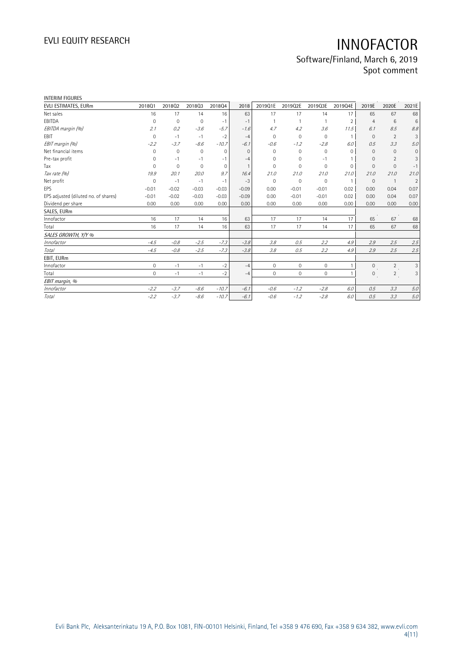## EVLI EQUITY RESEARCH **INNOFACTOR** Software/Finland, March 6, 2019

Spot comment

| <b>INTERIM FIGURES</b>               |              |              |             |              |              |              |              |             |                |                |                |                |
|--------------------------------------|--------------|--------------|-------------|--------------|--------------|--------------|--------------|-------------|----------------|----------------|----------------|----------------|
| EVLI ESTIMATES, EURm                 | 201801       | 201802       | 201803      | 201804       | 2018         | 2019Q1E      | 2019Q2E      | 2019Q3E     | 2019Q4E        | 2019E          | 2020E          | 2021E          |
| Net sales                            | 16           | 17           | 14          | 16           | 63           | 17           | 17           | 14          | 17             | 65             | 67             | 68             |
| EBITDA                               | 0            | $\mathbf{0}$ | $\mathbf 0$ | $-1$         | $-1$         |              |              |             | $\overline{2}$ | $\overline{4}$ | 6              | $\,6$          |
| EBITDA margin (%)                    | 2.1          | 0.2          | $-3.6$      | $-5.7$       | $-1.6$       | 4.7          | 4.2          | 3.6         | 11.5           | 6.1            | 8.5            | 8.8            |
| EBIT                                 | $\mathbf 0$  | $-1$         | $-1$        | $-2$         | $-4$         | $\mathbf{0}$ | $\mathbf{0}$ | $\mathbf 0$ |                | $\Omega$       | $\overline{2}$ | 3              |
| EBIT margin (%)                      | $-2.2$       | $-3.7$       | $-8.6$      | $-10.7$      | $-6.1$       | $-0.6$       | $-1.2$       | $-2.8$      | 6.0            | 0.5            | 3.3            | 5.0            |
| Net financial items                  | $\Omega$     | $\mathbf{0}$ | $\mathbf 0$ | $\mathbf{0}$ | $\Omega$     | $\Omega$     | $\Omega$     | $\mathbf 0$ | $\Omega$       | $\Omega$       | $\Omega$       | $\mathbf{0}$   |
| Pre-tax profit                       | $\mathbf 0$  | $-1$         | $-1$        | $-1$         | $-4$         | $\mathbf{0}$ | 0            | $-1$        |                | $\mathbf{0}$   | $\overline{2}$ | 3              |
| Tax                                  | $\Omega$     | $\mathbf{0}$ | $\mathbf 0$ | $\mathbf{0}$ | $\mathbf{1}$ | $\Omega$     | 0            | 0           | $\mathbf 0$    | $\Omega$       | $\mathbf{0}$   | $-1$           |
| Tax rate (%)                         | 19.9         | 20.1         | 20.0        | 9.7          | 16.4         | 21.0         | 21.0         | 21.0        | 21.0           | 21.0           | 21.0           | 21.0           |
| Net profit                           | $\mathbf{0}$ | $-1$         | $-1$        | $-1$         | $-3$         | $\mathbf 0$  | 0            | $\mathbf 0$ | $\overline{1}$ | $\mathbf{0}$   | $\overline{1}$ | $\overline{2}$ |
| EPS                                  | $-0.01$      | $-0.02$      | $-0.03$     | $-0.03$      | $-0.09$      | 0.00         | $-0.01$      | $-0.01$     | 0.02           | 0.00           | 0.04           | 0.07           |
| EPS adjusted (diluted no. of shares) | $-0.01$      | $-0.02$      | $-0.03$     | $-0.03$      | $-0.09$      | 0.00         | $-0.01$      | $-0.01$     | 0.02           | 0.00           | 0.04           | 0.07           |
| Dividend per share                   | 0.00         | 0.00         | 0.00        | 0.00         | 0.00         | 0.00         | 0.00         | 0.00        | 0.00           | 0.00           | 0.00           | 0.00           |
| SALES, EURm                          |              |              |             |              |              |              |              |             |                |                |                |                |
| Innofactor                           | 16           | 17           | 14          | 16           | 63           | 17           | 17           | 14          | 17             | 65             | 67             | 68             |
| Total                                | 16           | 17           | 14          | 16           | 63           | 17           | 17           | 14          | 17             | 65             | 67             | 68             |
| SALES GROWTH, Y/Y %                  |              |              |             |              |              |              |              |             |                |                |                |                |
| Innofactor                           | $-4.5$       | $-0.8$       | $-2.5$      | $-7.3$       | $-3.8$       | 3.8          | 0.5          | 2.2         | 4.9            | 2.9            | 2.5            | 2.5            |
| Total                                | $-4.5$       | $-0.8$       | $-2.5$      | $-7.3$       | $-3.8$       | 3.8          | 0.5          | 2.2         | 4.9            | 2.9            | 2.5            | 2.5            |
| EBIT, EURm                           |              |              |             |              |              |              |              |             |                |                |                |                |
| Innofactor                           | $\circ$      | $-1$         | $-1$        | $-2$         | $-4$         | $\circ$      | $\circ$      | 0           |                | $\mathbf{0}$   | $\overline{2}$ | 3              |
| Total                                | $\mathbf 0$  | $-1$         | $-1$        | $-2$         | $-4$         | $\mathbf{0}$ | $\mathbf{0}$ | $\mathbf 0$ |                | $\mathbf{0}$   | 2              | 3              |
| EBIT margin, %                       |              |              |             |              |              |              |              |             |                |                |                |                |
| Innofactor                           | $-2.2$       | $-3.7$       | $-8.6$      | $-10.7$      | $-6.1$       | $-0.6$       | $-1.2$       | $-2.8$      | 6.0            | 0.5            | 3.3            | 5.0            |
| Total                                | $-2.2$       | $-3.7$       | $-8.6$      | $-10.7$      | $-6.1$       | $-0.6$       | $-1.2$       | $-2.8$      | 6.0            | 0.5            | 3.3            | 5.0            |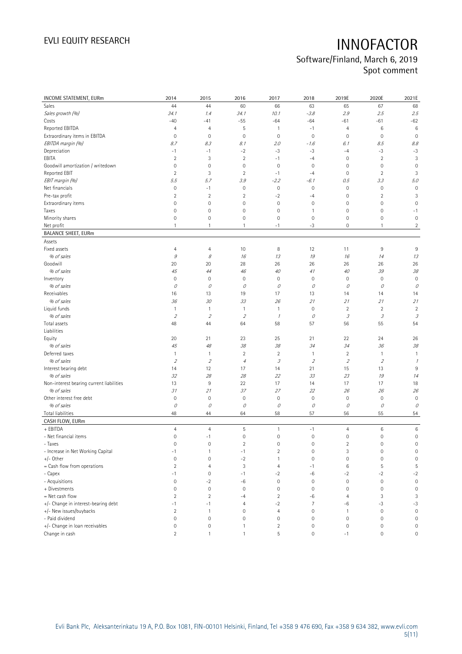## Software/Finland, March 6, 2019 Spot comment

| INCOME STATEMENT, EURm                   | 2014                    | 2015             | 2016                | 2017                | 2018           | 2019E                      | 2020E                       | 2021E               |
|------------------------------------------|-------------------------|------------------|---------------------|---------------------|----------------|----------------------------|-----------------------------|---------------------|
| Sales                                    | 44                      | 44               | 60                  | 66                  | 63             | 65                         | 67                          | 68                  |
| Sales growth (%)                         | 34.1                    | 1.4              | 34.1                | 10.1                | $-3.8$         | 2.9                        | 2.5                         | 2.5                 |
| Costs                                    | $-40$                   | $-41$            | $-55$               | $-64$               | $-64$          | $-61$                      | $-61$                       | $-62$               |
| Reported EBITDA                          | 4                       | 4                | 5                   | $\mathbf{1}$        | $-1$           | $\overline{4}$             | 6                           | $\,6$               |
| Extraordinary items in EBITDA            | $\mathsf{O}\xspace$     | $\mathbf 0$      | $\mathbf 0$         | $\mathbf 0$         | $\mathbf 0$    | $\mathbf 0$                | $\mathbf 0$                 | $\mathbf 0$         |
| EBITDA margin (%)                        | 8.7                     | 8.3              | 8.1                 | 2.0                 | $-1.6$         | 6.1                        | 8.5                         | 8.8                 |
| Depreciation                             | $-1$                    | $-1$             | $-2$                | $-3$                | $-3$           | $-4$                       | $-3$                        | $-3$                |
| EBITA                                    | $\overline{2}$          | 3                | $\overline{2}$      | $-1$                | $-4$           | $\mathbf 0$                | $\sqrt{2}$                  | 3                   |
| Goodwill amortization / writedown        | $\mathsf{O}\xspace$     | $\mathbf 0$      | $\mathsf{O}\xspace$ | $\mathbf 0$         | $\mathbf 0$    | $\mathbf 0$                | $\mathbf 0$                 | $\mathbf 0$         |
| Reported EBIT                            | $\overline{2}$          | 3                | $\overline{2}$      | $-1$                | $-4$           | $\mathbf 0$                | $\overline{2}$              | 3                   |
| EBIT margin (%)                          | 5.5                     | 5.7              | 3.9                 | $-2.2$              | $-6.1$         | 0.5                        | 3.3                         | 5.0                 |
| Net financials                           | $\mathbf 0$             | $-1$             | $\mathsf{O}\xspace$ | $\mathbf 0$         | $\mathbf 0$    | $\mathbf 0$                | $\mathbf 0$                 | $\mathbf 0$         |
| Pre-tax profit                           | $\overline{2}$          | $\overline{2}$   | $\overline{c}$      | $-2$                | $-4$           | 0                          | $\sqrt{2}$                  | 3                   |
| Extraordinary items                      | 0                       | 0                | 0                   | $\mathbf 0$         | $\mathbf 0$    | 0                          | $\mathbf 0$                 | $\mathbf 0$         |
| Taxes                                    | 0                       | 0                | 0                   | 0                   | $\overline{1}$ | 0                          | $\mathbf 0$                 | -1                  |
| Minority shares                          | 0                       | 0                | $\mathsf{O}\xspace$ | $\mathbf 0$         | $\mathbf 0$    | 0                          | 0                           | $\mathbb O$         |
| Net profit                               | 1                       | $\mathbf{1}$     | 1                   | $-1$                | $-3$           | 0                          | $\mathbf{1}$                | $\overline{2}$      |
| <b>BALANCE SHEET, EURm</b>               |                         |                  |                     |                     |                |                            |                             |                     |
| Assets                                   |                         |                  |                     |                     |                |                            |                             |                     |
| Fixed assets                             | 4                       | 4                | 10                  | 8                   | 12             | 11                         | 9                           | 9                   |
| % of sales                               | $\mathcal G$            | 8                | 16                  | 13                  | 19             | 16                         | 14                          | 13                  |
| Goodwill                                 | 20                      | 20               | 28                  | 26                  | 26             | 26                         | 26                          | 26                  |
| % of sales                               | 45                      | 44               | 46                  | 40                  | 41             | 40                         | 39                          | 38                  |
| Inventory                                | $\mathbf 0$             |                  | $\mathbf 0$         | 0                   | $\mathbf 0$    | $\mathbf 0$                | $\mathbf 0$                 | 0                   |
|                                          |                         | $\mathbf 0$      |                     |                     |                |                            |                             |                     |
| % of sales<br>Receivables                | 0                       | 0                | О                   | 0                   | 0              | 0                          | 0                           | 0                   |
|                                          | 16                      | 13               | 19                  | 17                  | 13             | 14                         | 14                          | 14                  |
| % of sales<br>Liquid funds               | 36                      | 30               | 33                  | 26                  | 21             | 21                         | 21                          | 21                  |
|                                          | 1                       | 1                | 1                   | $\mathbf{1}$        | $\mathbf 0$    | $\overline{2}$             | $\overline{2}$              | $\overline{2}$      |
| % of sales                               | $\sqrt{2}$              | $\overline{2}$   | $\sqrt{2}$          | $\mathcal I$        | 0              | $\ensuremath{\mathcal{S}}$ | $\ensuremath{\mathcal{S}}$  | $\mathcal{I}$       |
| Total assets<br>Liabilities              | 48                      | 44               | 64                  | 58                  | 57             | 56                         | 55                          | 54                  |
| Equity                                   | 20                      | 21               | 23                  | 25                  | 21             | 22                         | 24                          | 26                  |
| % of sales                               | 45                      | 48               | 38                  | 38                  | 34             | 34                         | 36                          | 38                  |
| Deferred taxes                           | 1                       | 1                | $\overline{c}$      | $\overline{2}$      | $\overline{1}$ | $\overline{2}$             | $\mathbf{1}$                | $\overline{1}$      |
| % of sales                               | $\mathcal{D}$           | $\overline{2}$   | $\overline{4}$      | $\mathcal{I}% _{G}$ | $\overline{2}$ | $\sqrt{2}$                 | $\mathcal{L}_{\mathcal{L}}$ | $\mathcal I$        |
| Interest bearing debt                    | 14                      | 12               | 17                  | 14                  | 21             | 15                         | 13                          | 9                   |
| % of sales                               | 32                      | 28               | 28                  | 22                  | 33             | 23                         | 19                          | 14                  |
| Non-interest bearing current liabilities | 13                      | 9                | 22                  | 17                  | 14             | 17                         | 17                          | 18                  |
| % of sales                               | 31                      | 21               | 37                  | 27                  | 22             | 26                         | 26                          | 26                  |
| Other interest free debt                 | $\mathbf 0$             | $\mathbb O$      | $\bf 0$             | $\mathsf{O}\xspace$ | $\mathbb O$    | $\mathbb O$                | $\mathbb O$                 | $\mathbb O$         |
| % of sales                               | 0                       | 0                | 0                   | 0                   | $\mathcal O$   | $\mathcal O$               | $\mathcal O$                | 0                   |
| Total liabilities                        | 48                      | 44               | 64                  | 58                  | 57             | 56                         | 55                          | 54                  |
| CASH FLOW, EURm                          |                         |                  |                     |                     |                |                            |                             |                     |
| + EBITDA                                 | $\overline{4}$          | $\overline{4}$   | 5                   | $\mathbf{1}$        | $-1$           | $\overline{4}$             | 6                           | $\,6$               |
| - Net financial items                    | $\mathsf{O}\xspace$     | $-1$             | $\mathbb O$         | $\mathsf{O}\xspace$ | $\mathbf 0$    | $\mathbf 0$                | $\mathbf 0$                 | $\mathbf 0$         |
| - Taxes                                  | 0                       | 0                | 2                   | 0                   | 0              | 2                          | 0                           | 0                   |
| - Increase in Net Working Capital        | $-1$                    | 1                | $-1$                | $\overline{2}$      | $\mathbb O$    | 3                          | $\mathbf 0$                 | $\mathbf 0$         |
| $+/-$ Other                              | $\mathbf 0$             | $\mathbf 0$      | $-2$                | $\mathbf{1}$        | $\mathbf 0$    | $\mathbf 0$                | $\mathbf 0$                 | $\mathbf 0$         |
| = Cash flow from operations              | $\overline{2}$          | $\overline{4}$   | 3                   | $\overline{4}$      | $-1$           | 6                          | 5                           | 5                   |
| - Capex                                  | $-1$                    | 0                | $-1$                | $-2$                | $-6$           | $-2$                       | $-2$                        | $-2$                |
| - Acquisitions                           | $\mathbf 0$             | $-2$             | -6                  | $\mathbf 0$         | $\mathbf 0$    | $\mathbf 0$                | $\mathbf 0$                 | $\mathbb O$         |
| + Divestments                            | $\mathsf{O}\xspace$     | $\mathbf 0$      | $\mathbf 0$         | $\mathsf{O}\xspace$ | $\mathbf 0$    | $\mathbf 0$                | $\mathbf 0$                 | $\mathbf 0$         |
| = Net cash flow                          | $\overline{\mathbf{c}}$ | $\overline{2}$   | $-4$                | $\overline{2}$      | -6             | 4                          | 3                           | $\sqrt{3}$          |
| +/- Change in interest-bearing debt      | $-1$                    | $-1$             | 4                   | $-2$                | $\overline{7}$ | $-6$                       | $-3$                        | $-3$                |
| +/- New issues/buybacks                  | $\overline{2}$          | $\mathbf{1}$     | $\mathsf{O}\xspace$ | $\overline{4}$      | $\mathbf 0$    | 1                          | $\mathbf 0$                 | $\mathbf 0$         |
| - Paid dividend                          | 0                       | 0                | $\mathsf{O}\xspace$ | $\mathsf{O}\xspace$ | $\mathbf 0$    | $\mathbf 0$                | $\mathbf 0$                 | $\mathbf 0$         |
| +/- Change in loan receivables           | 0                       | $\boldsymbol{0}$ | 1                   | $\overline{c}$      | $\mathbb O$    | $\mathsf{O}\xspace$        | $\mathbf 0$                 | $\mathbf 0$         |
| Change in cash                           | $\overline{c}$          | $\mathbf{1}$     | $\mathbf{1}$        | 5                   | $\,0\,$        | $-1$                       | $\mathsf{O}\xspace$         | $\mathsf{O}\xspace$ |
|                                          |                         |                  |                     |                     |                |                            |                             |                     |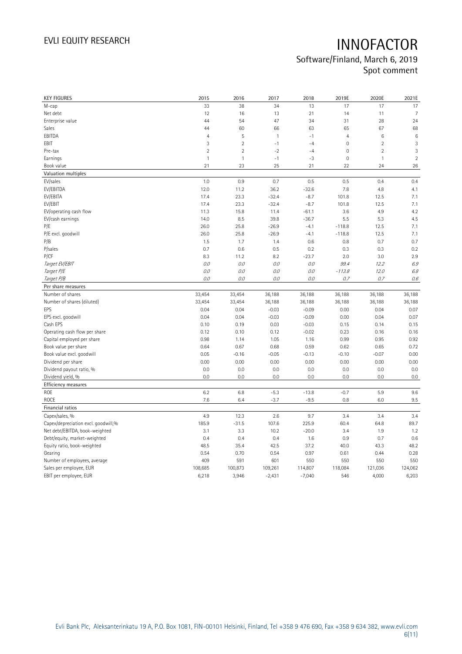Software/Finland, March 6, 2019 Spot comment

| <b>KEY FIGURES</b>                  | 2015           | 2016           | 2017         | 2018     | 2019E          | 2020E          | 2021E          |
|-------------------------------------|----------------|----------------|--------------|----------|----------------|----------------|----------------|
| M-cap                               | 33             | 38             | 34           | 13       | 17             | 17             | 17             |
| Net debt                            | 12             | 16             | 13           | 21       | 14             | 11             | 7              |
| Enterprise value                    | 44             | 54             | 47           | 34       | 31             | 28             | 24             |
| Sales                               | 44             | 60             | 66           | 63       | 65             | 67             | 68             |
| EBITDA                              | $\overline{4}$ | 5              | $\mathbf{1}$ | $-1$     | $\overline{4}$ | $\,6\,$        | $\,6$          |
| EBIT                                | 3              | $\overline{2}$ | $-1$         | $-4$     | $\mathbf 0$    | $\overline{2}$ | 3              |
| Pre-tax                             | $\overline{2}$ | $\overline{2}$ | $-2$         | $-4$     | $\mathbf 0$    | $\overline{2}$ | 3              |
| Earnings                            | $\mathbf{1}$   | $\mathbf{1}$   | $-1$         | $-3$     | $\mathbf 0$    | $\mathbf{1}$   | $\overline{2}$ |
| Book value                          | 21             | 23             | 25           | 21       | 22             | 24             | 26             |
| Valuation multiples                 |                |                |              |          |                |                |                |
| EV/sales                            | 1.0            | 0.9            | 0.7          | 0.5      | 0.5            | 0.4            | 0.4            |
| EV/EBITDA                           | 12.0           | 11.2           | 36.2         | $-32.6$  | 7.8            | 4.8            | 4.1            |
| EV/EBITA                            | 17.4           | 23.3           | $-32.4$      | $-8.7$   | 101.8          | 12.5           | 7.1            |
| EV/EBIT                             | 17.4           | 23.3           | $-32.4$      | $-8.7$   | 101.8          | 12.5           | 7.1            |
| EV/operating cash flow              | 11.3           | 15.8           | 11.4         | $-61.1$  | 3.6            | 4.9            | 4.2            |
| EV/cash earnings                    | 14.0           | 8.5            | 39.8         | $-36.7$  | 5.5            | 5.3            | 4.5            |
| P/E                                 | 26.0           | 25.8           | $-26.9$      | $-4.1$   | $-118.8$       | 12.5           | 7.1            |
| P/E excl. goodwill                  | 26.0           | 25.8           | $-26.9$      | $-4.1$   | $-118.8$       | 12.5           | 7.1            |
| P/B                                 | 1.5            | 1.7            | 1.4          | 0.6      | 0.8            | 0.7            | 0.7            |
| P/sales                             | 0.7            | 0.6            | 0.5          | 0.2      | 0.3            | 0.3            | 0.2            |
| P/CF                                | 8.3            | 11.2           | 8.2          | $-23.7$  | 2.0            | 3.0            | 2.9            |
| Target EV/EBIT                      | 0.0            | 0.0            | 0.0          | 0.0      | 99.4           | 12.2           | 6.9            |
| Target P/E                          | $O.O$          | 0.0            | 0.0          | 0.0      | $-113.8$       | 12.0           | 6.8            |
| Target P/B                          | 0.0            | 0.0            | 0.0          | 0.0      | 0.7            | 0.7            | $0.6\,$        |
| Per share measures                  |                |                |              |          |                |                |                |
| Number of shares                    | 33,454         | 33,454         | 36,188       | 36,188   | 36,188         | 36,188         | 36,188         |
| Number of shares (diluted)          | 33,454         | 33,454         | 36,188       | 36,188   | 36,188         | 36,188         | 36,188         |
| EPS                                 | 0.04           | 0.04           | $-0.03$      | $-0.09$  | 0.00           | 0.04           | 0.07           |
| EPS excl. goodwill                  | 0.04           | 0.04           | $-0.03$      | $-0.09$  | 0.00           | 0.04           | 0.07           |
| Cash EPS                            | 0.10           | 0.19           | 0.03         | $-0.03$  | 0.15           | 0.14           | 0.15           |
| Operating cash flow per share       | 0.12           | 0.10           | 0.12         | $-0.02$  | 0.23           | 0.16           | 0.16           |
| Capital employed per share          | 0.98           | 1.14           | 1.05         | 1.16     | 0.99           | 0.95           | 0.92           |
| Book value per share                | 0.64           | 0.67           | 0.68         | 0.59     | 0.62           | 0.65           | 0.72           |
| Book value excl. goodwill           | 0.05           | $-0.16$        | $-0.05$      | $-0.13$  | $-0.10$        | $-0.07$        | 0.00           |
| Dividend per share                  | 0.00           | 0.00           | 0.00         | 0.00     | 0.00           | 0.00           | 0.00           |
| Dividend payout ratio, %            | 0.0            | 0.0            | 0.0          | 0.0      | 0.0            | 0.0            | 0.0            |
| Dividend yield, %                   | 0.0            | 0.0            | 0.0          | 0.0      | 0.0            | 0.0            | 0.0            |
| <b>Efficiency measures</b>          |                |                |              |          |                |                |                |
| ROE                                 | 6.2            | 6.8            | $-5.3$       | $-13.8$  | $-0.7$         | 5.9            | 9.6            |
| ROCE                                | 7.6            | 6.4            | $-3.7$       | $-9.5$   | 0.8            | 6.0            | 9.5            |
| Financial ratios                    |                |                |              |          |                |                |                |
| Capex/sales, %                      | 4.9            | 12.3           | 2.6          | 9.7      | 3.4            | 3.4            | 3.4            |
| Capex/depreciation excl. goodwill,% | 185.9          | $-31.5$        | 107.6        | 225.9    | 60.4           | 64.8           | 89.7           |
| Net debt/EBITDA, book-weighted      | 3.1            | 3.3            | 10.2         | $-20.0$  | 3.4            | 1.9            | 1.2            |
| Debt/equity, market-weighted        | 0.4            | 0.4            | 0.4          | 1.6      | 0.9            | 0.7            | 0.6            |
| Equity ratio, book-weighted         | 48.5           | 35.4           | 42.5         | 37.2     | 40.0           | 43.3           | 48.2           |
| Gearing                             | 0.54           | 0.70           | 0.54         | 0.97     | 0.61           | 0.44           | 0.28           |
| Number of employees, average        | 409            | 591            | 601          | 550      | 550            | 550            | 550            |
| Sales per employee, EUR             | 108,685        | 100,873        | 109,261      | 114,807  | 118,084        | 121,036        | 124,062        |
| EBIT per employee, EUR              | 6,218          | 3,946          | $-2,431$     | $-7,040$ | 546            | 4,000          | 6,203          |
|                                     |                |                |              |          |                |                |                |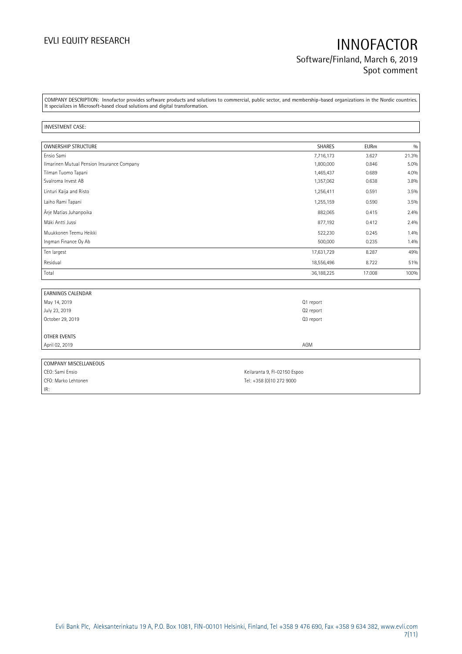## EVLI EQUITY RESEARCH **INNOFACTOR** Software/Finland, March 6, 2019 Spot comment

COMPANY DESCRIPTION: Innofactor provides software products and solutions to commercial, public sector, and membership-based organizations in the Nordic countries. It specializes in Microsoft-based cloud solutions and digital transformation.

### INVESTMENT CASE:

| <b>OWNERSHIP STRUCTURE</b>                 | <b>SHARES</b> | <b>EURm</b> | 0/0   |
|--------------------------------------------|---------------|-------------|-------|
| Ensio Sami                                 | 7,716,173     | 3.627       | 21.3% |
| Ilmarinen Mutual Pension Insurance Company | 1,800,000     | 0.846       | 5.0%  |
| Tilman Tuomo Tapani                        | 1,465,437     | 0.689       | 4.0%  |
| Svalroma Invest AB                         | 1,357,062     | 0.638       | 3.8%  |
| Linturi Kaija and Risto                    | 1,256,411     | 0.591       | 3.5%  |
| Laiho Rami Tapani                          | 1,255,159     | 0.590       | 3.5%  |
| Ärje Matias Juhanpoika                     | 882,065       | 0.415       | 2.4%  |
| Mäki Antti Jussi                           | 877,192       | 0.412       | 2.4%  |
| Muukkonen Teemu Heikki                     | 522,230       | 0.245       | 1.4%  |
| Ingman Finance Oy Ab                       | 500,000       | 0.235       | 1.4%  |
| Ten largest                                | 17,631,729    | 8.287       | 49%   |
| Residual                                   | 18,556,496    | 8.722       | 51%   |
| Total                                      | 36,188,225    | 17.008      | 100%  |

| <b>EARNINGS CALENDAR</b> |           |
|--------------------------|-----------|
| May 14, 2019             | Q1 report |
| July 23, 2019            | Q2 report |
| October 29, 2019         | Q3 report |
|                          |           |
| OTHER EVENTS             |           |
| April 02, 2019           | AGM       |
|                          |           |
| COMPANY MICCELLANEOUC    |           |

| COMPANY MISCELLANEOUS |                              |
|-----------------------|------------------------------|
| CEO: Sami Ensio       | Keilaranta 9, FI-02150 Espoo |
| CFO: Marko Lehtonen   | Tel: +358 (0)10 272 9000     |
| IR:                   |                              |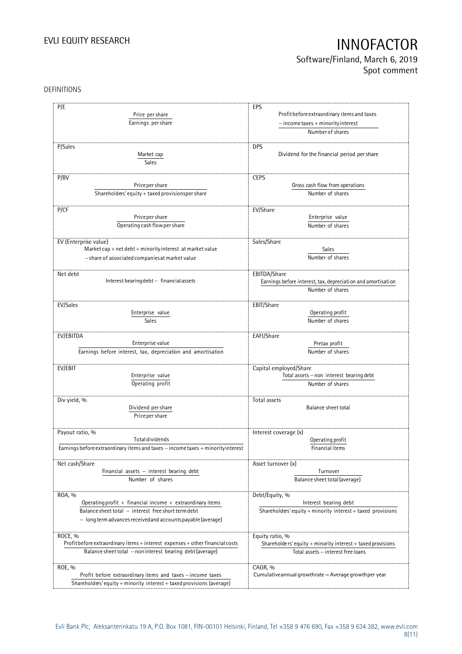## Software/Finland, March 6, 2019 Spot comment

### DEFINITIONS

| P/E                                                                              | EPS                                                          |
|----------------------------------------------------------------------------------|--------------------------------------------------------------|
|                                                                                  | Profit before extraordinary items and taxes                  |
| Price per share                                                                  |                                                              |
| Earnings per share                                                               | $-$ income taxes + minority interest                         |
|                                                                                  | Number of shares                                             |
|                                                                                  |                                                              |
| P/Sales                                                                          | <b>DPS</b>                                                   |
| Market cap                                                                       | Dividend for the financial period per share                  |
| Sales                                                                            |                                                              |
| P/BV                                                                             | <b>CEPS</b>                                                  |
| Price per share                                                                  | Gross cash flow from operations                              |
| Shareholders' equity + taxed provisionsper share                                 | Number of shares                                             |
|                                                                                  |                                                              |
| P/CF                                                                             | EV/Share                                                     |
| Price per share                                                                  | Enterprise value                                             |
| Operating cash flow per share                                                    | Number of shares                                             |
|                                                                                  |                                                              |
| EV (Enterprise value)                                                            | Sales/Share                                                  |
| Market cap + net debt + minority interest at market value                        | <b>Sales</b>                                                 |
| - share of associated companies at market value                                  | Number of shares                                             |
|                                                                                  |                                                              |
| Net debt                                                                         | EBITDA/Share                                                 |
| Interest bearing debt - financial assets                                         | Earnings before interest, tax, depreciation and amortisation |
|                                                                                  | Number of shares                                             |
|                                                                                  |                                                              |
| EV/Sales                                                                         | EBIT/Share                                                   |
| Enterprise value                                                                 | Operating profit                                             |
| <b>Sales</b>                                                                     | Number of shares                                             |
|                                                                                  |                                                              |
| EV/EBITDA                                                                        | EAFI/Share                                                   |
| Enterprise value                                                                 | Pretax profit                                                |
| Earnings before interest, tax, depreciation and amortisation                     | Number of shares                                             |
| EV/EBIT                                                                          | Capital employed/Share                                       |
| Enterprise value                                                                 | Total assets - non interest bearing debt                     |
| Operating profit                                                                 | Number of shares                                             |
|                                                                                  |                                                              |
| Div yield, %                                                                     | Total assets                                                 |
| Dividend per share                                                               | Balance sheet total                                          |
| Price per share                                                                  |                                                              |
|                                                                                  |                                                              |
| Payout ratio, %                                                                  | Interest coverage (x)                                        |
| <b>Total dividends</b>                                                           | Operating profit                                             |
| Earnings before extraordinary items and taxes - income taxes + minority interest | Financial items                                              |
|                                                                                  |                                                              |
| Net cash/Share                                                                   | Asset turnover (x)                                           |
| Financial assets $-$ interest bearing debt                                       | Turnover                                                     |
| Number of shares                                                                 | Balance sheet total (average)                                |
| ROA, %                                                                           | Debt/Equity, %                                               |
| Operating profit $+$ financial income $+$ extraordinary items                    | Interest bearing debt                                        |
| Balance sheet total - interest free short term debt                              | Shareholders' equity + minority interest + taxed provisions  |
| - long term advances received and accounts payable (average)                     |                                                              |
|                                                                                  |                                                              |
| ROCE, %                                                                          | Equity ratio, %                                              |
| Profit before extraordinary items + interest expenses + other financial costs    | Shareholders' equity + minority interest + taxed provisions  |
| Balance sheet total - noninterest bearing debt (average)                         | Total assets - interest free loans                           |
|                                                                                  |                                                              |
| ROE, %                                                                           | CAGR, %                                                      |
| Profit before extraordinary items and taxes - income taxes                       | Cumulative annual growthrate $=$ Average growthper year      |
| Shareholders' equity + minority interest + taxed provisions (average)            |                                                              |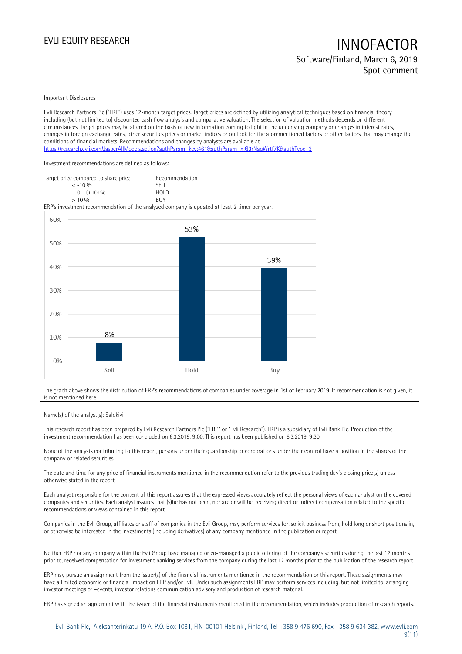### Software/Finland, March 6, 2019 Spot comment

### Important Disclosures

Evli Research Partners Plc ("ERP") uses 12-month target prices. Target prices are defined by utilizing analytical techniques based on financial theory including (but not limited to) discounted cash flow analysis and comparative valuation. The selection of valuation methods depends on different circumstances. Target prices may be altered on the basis of new information coming to light in the underlying company or changes in interest rates, changes in foreign exchange rates, other securities prices or market indices or outlook for the aforementioned factors or other factors that may change the conditions of financial markets. Recommendations and changes by analysts are available at https://research.evli.com/JasperAllModels.action?authParam=key;461&authParam=x;G3rNagWrtf7K&tauthType=3 Investment recommendations are defined as follows: Target price compared to share price Recommendation<br>  $\leq -10\%$  SELL  $\langle 5, 10, 10 \rangle$  SELL<br> $\langle -10, 10, 10 \rangle$  SELL  $-10 - (+10) \%$  HOL<br>  $> 10 \%$  RIJY  $> 10 \frac{0}{0}$ ERP's investment recommendation of the analyzed company is updated at least 2 timer per year. 60% 53% 50% 39% 40% 30% 20% 8% 10%  $0%$ Sell Hold Buy

The graph above shows the distribution of ERP's recommendations of companies under coverage in 1st of February 2019. If recommendation is not given, it is not mentioned here.

### Name(s) of the analyst(s): Salokivi

This research report has been prepared by Evli Research Partners Plc ("ERP" or "Evli Research"). ERP is a subsidiary of Evli Bank Plc. Production of the investment recommendation has been concluded on 6.3.2019, 9:00. This report has been published on 6.3.2019, 9:30.

None of the analysts contributing to this report, persons under their guardianship or corporations under their control have a position in the shares of the company or related securities.

The date and time for any price of financial instruments mentioned in the recommendation refer to the previous trading day's closing price(s) unless otherwise stated in the report.

Each analyst responsible for the content of this report assures that the expressed views accurately reflect the personal views of each analyst on the covered companies and securities. Each analyst assures that (s)he has not been, nor are or will be, receiving direct or indirect compensation related to the specific recommendations or views contained in this report.

Companies in the Evli Group, affiliates or staff of companies in the Evli Group, may perform services for, solicit business from, hold long or short positions in, or otherwise be interested in the investments (including derivatives) of any company mentioned in the publication or report.

Neither ERP nor any company within the Evli Group have managed or co-managed a public offering of the company's securities during the last 12 months prior to, received compensation for investment banking services from the company during the last 12 months prior to the publication of the research report.

ERP may pursue an assignment from the issuer(s) of the financial instruments mentioned in the recommendation or this report. These assignments may have a limited economic or financial impact on ERP and/or Evli. Under such assignments ERP may perform services including, but not limited to, arranging investor meetings or –events, investor relations communication advisory and production of research material.

ERP has signed an agreement with the issuer of the financial instruments mentioned in the recommendation, which includes production of research reports.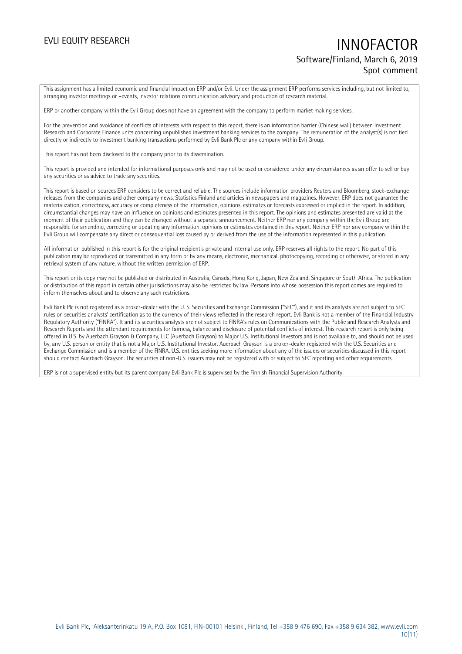## EVLI EQUITY RESEARCH **INNOFACTOR** Software/Finland, March 6, 2019 Spot comment

This assignment has a limited economic and financial impact on ERP and/or Evli. Under the assignment ERP performs services including, but not limited to, arranging investor meetings or –events, investor relations communication advisory and production of research material.

ERP or another company within the Evli Group does not have an agreement with the company to perform market making services.

For the prevention and avoidance of conflicts of interests with respect to this report, there is an information barrier (Chinese wall) between Investment Research and Corporate Finance units concerning unpublished investment banking services to the company. The remuneration of the analyst(s) is not tied directly or indirectly to investment banking transactions performed by Evli Bank Plc or any company within Evli Group.

This report has not been disclosed to the company prior to its dissemination.

This report is provided and intended for informational purposes only and may not be used or considered under any circumstances as an offer to sell or buy any securities or as advice to trade any securities.

This report is based on sources ERP considers to be correct and reliable. The sources include information providers Reuters and Bloomberg, stock-exchange releases from the companies and other company news, Statistics Finland and articles in newspapers and magazines. However, ERP does not guarantee the materialization, correctness, accuracy or completeness of the information, opinions, estimates or forecasts expressed or implied in the report. In addition, circumstantial changes may have an influence on opinions and estimates presented in this report. The opinions and estimates presented are valid at the moment of their publication and they can be changed without a separate announcement. Neither ERP nor any company within the Evli Group are responsible for amending, correcting or updating any information, opinions or estimates contained in this report. Neither ERP nor any company within the Evli Group will compensate any direct or consequential loss caused by or derived from the use of the information represented in this publication.

All information published in this report is for the original recipient's private and internal use only. ERP reserves all rights to the report. No part of this publication may be reproduced or transmitted in any form or by any means, electronic, mechanical, photocopying, recording or otherwise, or stored in any retrieval system of any nature, without the written permission of ERP.

This report or its copy may not be published or distributed in Australia, Canada, Hong Kong, Japan, New Zealand, Singapore or South Africa. The publication or distribution of this report in certain other jurisdictions may also be restricted by law. Persons into whose possession this report comes are required to inform themselves about and to observe any such restrictions.

Evli Bank Plc is not registered as a broker-dealer with the U. S. Securities and Exchange Commission ("SEC"), and it and its analysts are not subject to SEC rules on securities analysts' certification as to the currency of their views reflected in the research report. Evli Bank is not a member of the Financial Industry Regulatory Authority ("FINRA"). It and its securities analysts are not subject to FINRA's rules on Communications with the Public and Research Analysts and Research Reports and the attendant requirements for fairness, balance and disclosure of potential conflicts of interest. This research report is only being offered in U.S. by Auerbach Grayson & Company, LLC (Auerbach Grayson) to Major U.S. Institutional Investors and is not available to, and should not be used by, any U.S. person or entity that is not a Major U.S. Institutional Investor. Auerbach Grayson is a broker-dealer registered with the U.S. Securities and Exchange Commission and is a member of the FINRA. U.S. entities seeking more information about any of the issuers or securities discussed in this report should contact Auerbach Grayson. The securities of non-U.S. issuers may not be registered with or subject to SEC reporting and other requirements.

ERP is not a supervised entity but its parent company Evli Bank Plc is supervised by the Finnish Financial Supervision Authority.